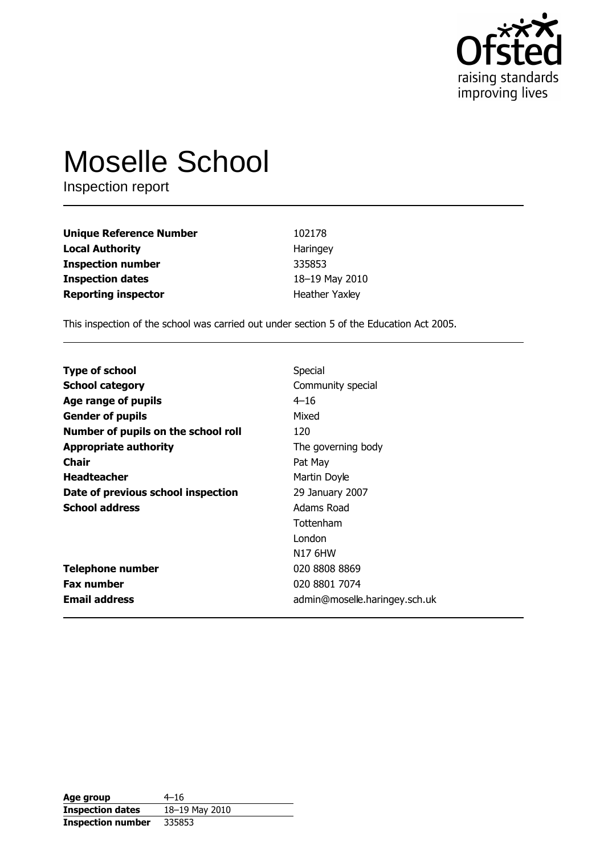

# **Moselle School**

Inspection report

| <b>Unique Reference Number</b> | 102178                |
|--------------------------------|-----------------------|
| <b>Local Authority</b>         | Haringey              |
| <b>Inspection number</b>       | 335853                |
| <b>Inspection dates</b>        | 18-19 May 2010        |
| <b>Reporting inspector</b>     | <b>Heather Yaxley</b> |

This inspection of the school was carried out under section 5 of the Education Act 2005.

| <b>Type of school</b>               | Special                       |
|-------------------------------------|-------------------------------|
| <b>School category</b>              | Community special             |
| Age range of pupils                 | $4 - 16$                      |
| <b>Gender of pupils</b>             | Mixed                         |
| Number of pupils on the school roll | 120                           |
| <b>Appropriate authority</b>        | The governing body            |
| <b>Chair</b>                        | Pat May                       |
| <b>Headteacher</b>                  | Martin Doyle                  |
| Date of previous school inspection  | 29 January 2007               |
| <b>School address</b>               | Adams Road                    |
|                                     | Tottenham                     |
|                                     | London                        |
|                                     | N <sub>17</sub> 6HW           |
| <b>Telephone number</b>             | 020 8808 8869                 |
| <b>Fax number</b>                   | 020 8801 7074                 |
| <b>Email address</b>                | admin@moselle.haringey.sch.uk |

| Age group                | $4 - 16$       |
|--------------------------|----------------|
| <b>Inspection dates</b>  | 18-19 May 2010 |
| <b>Inspection number</b> | 335853         |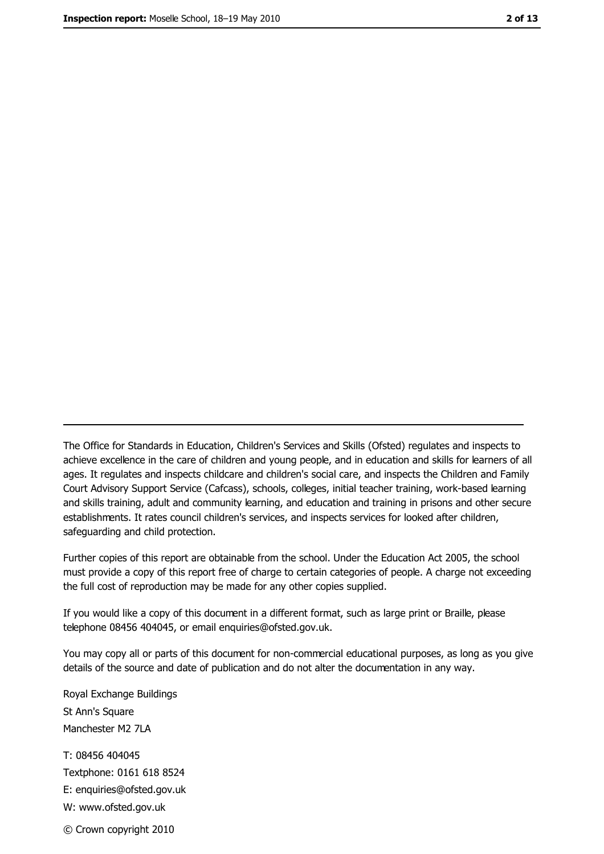The Office for Standards in Education, Children's Services and Skills (Ofsted) regulates and inspects to achieve excellence in the care of children and young people, and in education and skills for learners of all ages. It regulates and inspects childcare and children's social care, and inspects the Children and Family Court Advisory Support Service (Cafcass), schools, colleges, initial teacher training, work-based learning and skills training, adult and community learning, and education and training in prisons and other secure establishments. It rates council children's services, and inspects services for looked after children, safequarding and child protection.

Further copies of this report are obtainable from the school. Under the Education Act 2005, the school must provide a copy of this report free of charge to certain categories of people. A charge not exceeding the full cost of reproduction may be made for any other copies supplied.

If you would like a copy of this document in a different format, such as large print or Braille, please telephone 08456 404045, or email enquiries@ofsted.gov.uk.

You may copy all or parts of this document for non-commercial educational purposes, as long as you give details of the source and date of publication and do not alter the documentation in any way.

Royal Exchange Buildings St Ann's Square Manchester M2 7LA T: 08456 404045 Textphone: 0161 618 8524 E: enquiries@ofsted.gov.uk W: www.ofsted.gov.uk © Crown copyright 2010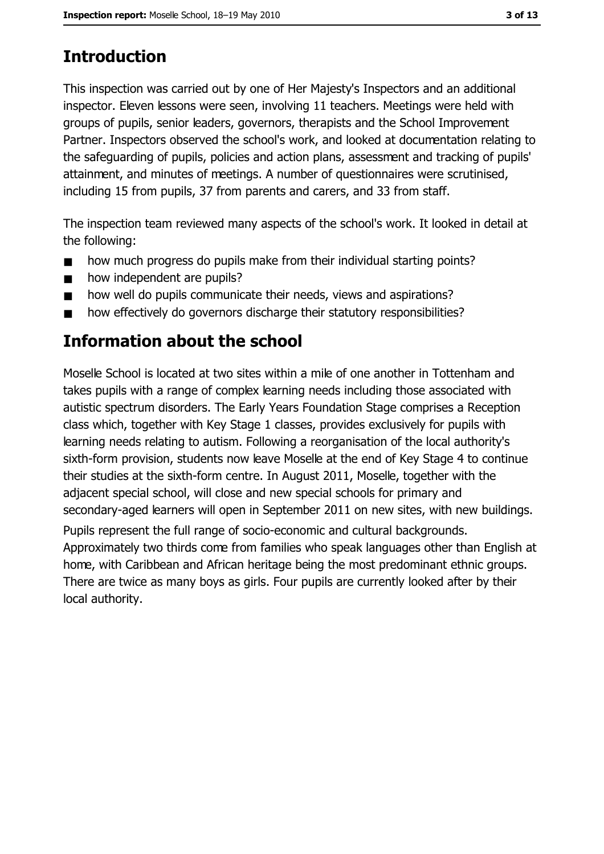# **Introduction**

This inspection was carried out by one of Her Majesty's Inspectors and an additional inspector. Eleven lessons were seen, involving 11 teachers. Meetings were held with groups of pupils, senior leaders, governors, therapists and the School Improvement Partner. Inspectors observed the school's work, and looked at documentation relating to the safeguarding of pupils, policies and action plans, assessment and tracking of pupils' attainment, and minutes of meetings. A number of questionnaires were scrutinised, including 15 from pupils, 37 from parents and carers, and 33 from staff.

The inspection team reviewed many aspects of the school's work. It looked in detail at the following:

- how much progress do pupils make from their individual starting points?  $\blacksquare$
- how independent are pupils?  $\blacksquare$
- how well do pupils communicate their needs, views and aspirations?  $\blacksquare$
- how effectively do governors discharge their statutory responsibilities?  $\blacksquare$

# Information about the school

Moselle School is located at two sites within a mile of one another in Tottenham and takes pupils with a range of complex learning needs including those associated with autistic spectrum disorders. The Early Years Foundation Stage comprises a Reception class which, together with Key Stage 1 classes, provides exclusively for pupils with learning needs relating to autism. Following a reorganisation of the local authority's sixth-form provision, students now leave Moselle at the end of Key Stage 4 to continue their studies at the sixth-form centre. In August 2011, Moselle, together with the adjacent special school, will close and new special schools for primary and secondary-aged learners will open in September 2011 on new sites, with new buildings.

Pupils represent the full range of socio-economic and cultural backgrounds. Approximately two thirds come from families who speak languages other than English at home, with Caribbean and African heritage being the most predominant ethnic groups. There are twice as many boys as girls. Four pupils are currently looked after by their local authority.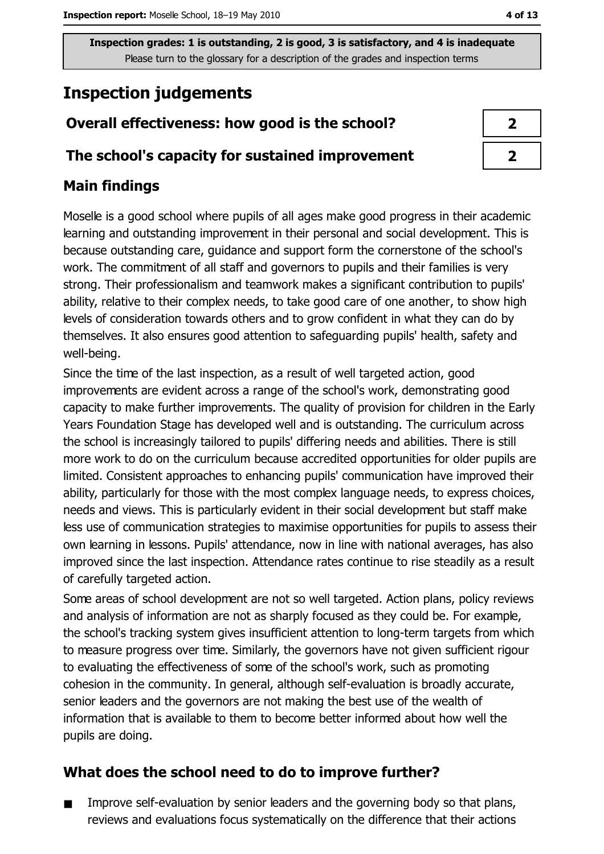# **Inspection judgements**

## Overall effectiveness: how good is the school?

#### The school's capacity for sustained improvement

## **Main findings**

Moselle is a good school where pupils of all ages make good progress in their academic learning and outstanding improvement in their personal and social development. This is because outstanding care, guidance and support form the cornerstone of the school's work. The commitment of all staff and governors to pupils and their families is very strong. Their professionalism and teamwork makes a significant contribution to pupils' ability, relative to their complex needs, to take good care of one another, to show high levels of consideration towards others and to grow confident in what they can do by themselves. It also ensures good attention to safeguarding pupils' health, safety and well-being.

Since the time of the last inspection, as a result of well targeted action, good improvements are evident across a range of the school's work, demonstrating good capacity to make further improvements. The quality of provision for children in the Early Years Foundation Stage has developed well and is outstanding. The curriculum across the school is increasingly tailored to pupils' differing needs and abilities. There is still more work to do on the curriculum because accredited opportunities for older pupils are limited. Consistent approaches to enhancing pupils' communication have improved their ability, particularly for those with the most complex language needs, to express choices, needs and views. This is particularly evident in their social development but staff make less use of communication strategies to maximise opportunities for pupils to assess their own learning in lessons. Pupils' attendance, now in line with national averages, has also improved since the last inspection. Attendance rates continue to rise steadily as a result of carefully targeted action.

Some areas of school development are not so well targeted. Action plans, policy reviews and analysis of information are not as sharply focused as they could be. For example, the school's tracking system gives insufficient attention to long-term targets from which to measure progress over time. Similarly, the governors have not given sufficient rigour to evaluating the effectiveness of some of the school's work, such as promoting cohesion in the community. In general, although self-evaluation is broadly accurate, senior leaders and the governors are not making the best use of the wealth of information that is available to them to become better informed about how well the pupils are doing.

## What does the school need to do to improve further?

Improve self-evaluation by senior leaders and the governing body so that plans,  $\blacksquare$ reviews and evaluations focus systematically on the difference that their actions

| 2                       |
|-------------------------|
| $\overline{\mathbf{z}}$ |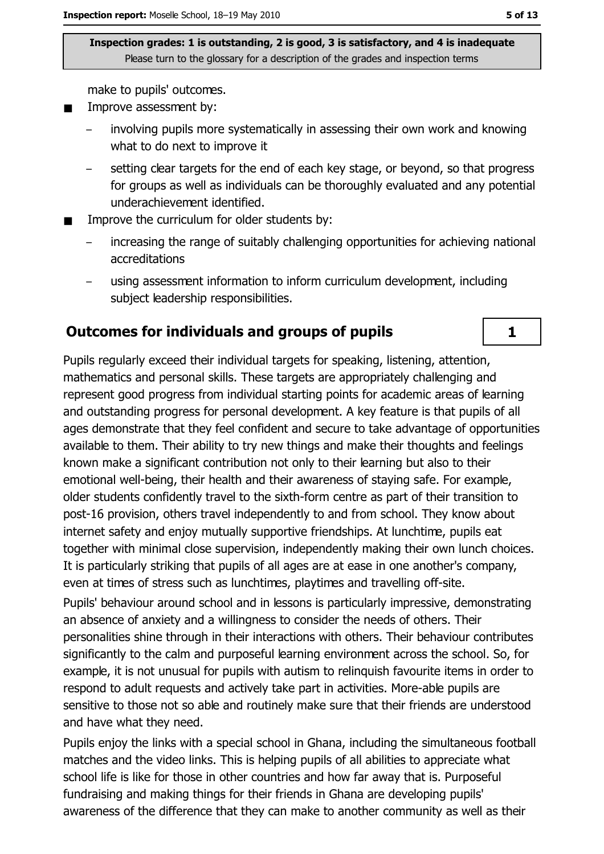make to pupils' outcomes.

- Improve assessment by:  $\blacksquare$ 
	- involving pupils more systematically in assessing their own work and knowing what to do next to improve it
	- setting clear targets for the end of each key stage, or beyond, so that progress for groups as well as individuals can be thoroughly evaluated and any potential underachievement identified.
- Improve the curriculum for older students by:
	- increasing the range of suitably challenging opportunities for achieving national accreditations
	- using assessment information to inform curriculum development, including subject leadership responsibilities.

#### **Outcomes for individuals and groups of pupils**

Pupils regularly exceed their individual targets for speaking, listening, attention, mathematics and personal skills. These targets are appropriately challenging and represent good progress from individual starting points for academic areas of learning and outstanding progress for personal development. A key feature is that pupils of all ages demonstrate that they feel confident and secure to take advantage of opportunities available to them. Their ability to try new things and make their thoughts and feelings known make a significant contribution not only to their learning but also to their emotional well-being, their health and their awareness of staying safe. For example, older students confidently travel to the sixth-form centre as part of their transition to post-16 provision, others travel independently to and from school. They know about internet safety and enjoy mutually supportive friendships. At lunchtime, pupils eat together with minimal close supervision, independently making their own lunch choices. It is particularly striking that pupils of all ages are at ease in one another's company, even at times of stress such as lunchtimes, playtimes and travelling off-site.

Pupils' behaviour around school and in lessons is particularly impressive, demonstrating an absence of anxiety and a willingness to consider the needs of others. Their personalities shine through in their interactions with others. Their behaviour contributes significantly to the calm and purposeful learning environment across the school. So, for example, it is not unusual for pupils with autism to relinguish favourite items in order to respond to adult requests and actively take part in activities. More-able pupils are sensitive to those not so able and routinely make sure that their friends are understood and have what they need.

Pupils enjoy the links with a special school in Ghana, including the simultaneous football matches and the video links. This is helping pupils of all abilities to appreciate what school life is like for those in other countries and how far away that is. Purposeful fundraising and making things for their friends in Ghana are developing pupils' awareness of the difference that they can make to another community as well as their

 $\mathbf{1}$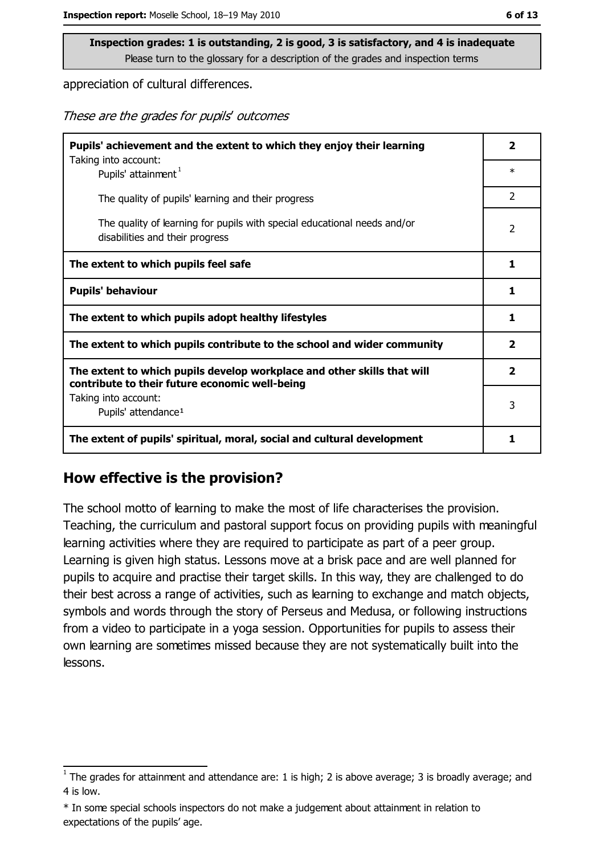appreciation of cultural differences.

These are the grades for pupils' outcomes

| Pupils' achievement and the extent to which they enjoy their learning                                                     |                |
|---------------------------------------------------------------------------------------------------------------------------|----------------|
| Taking into account:<br>Pupils' attainment <sup>1</sup>                                                                   | $\ast$         |
| The quality of pupils' learning and their progress                                                                        | $\overline{2}$ |
| The quality of learning for pupils with special educational needs and/or<br>disabilities and their progress               | 2              |
| The extent to which pupils feel safe                                                                                      |                |
| <b>Pupils' behaviour</b>                                                                                                  |                |
| The extent to which pupils adopt healthy lifestyles                                                                       | 1              |
| The extent to which pupils contribute to the school and wider community                                                   |                |
| The extent to which pupils develop workplace and other skills that will<br>contribute to their future economic well-being |                |
| Taking into account:<br>Pupils' attendance <sup>1</sup>                                                                   |                |
| The extent of pupils' spiritual, moral, social and cultural development                                                   | 1              |

#### How effective is the provision?

The school motto of learning to make the most of life characterises the provision. Teaching, the curriculum and pastoral support focus on providing pupils with meaningful learning activities where they are required to participate as part of a peer group. Learning is given high status. Lessons move at a brisk pace and are well planned for pupils to acquire and practise their target skills. In this way, they are challenged to do their best across a range of activities, such as learning to exchange and match objects, symbols and words through the story of Perseus and Medusa, or following instructions from a video to participate in a yoga session. Opportunities for pupils to assess their own learning are sometimes missed because they are not systematically built into the lessons.

 $\frac{1}{1}$  The grades for attainment and attendance are: 1 is high; 2 is above average; 3 is broadly average; and 4 is low.

<sup>\*</sup> In some special schools inspectors do not make a judgement about attainment in relation to expectations of the pupils' age.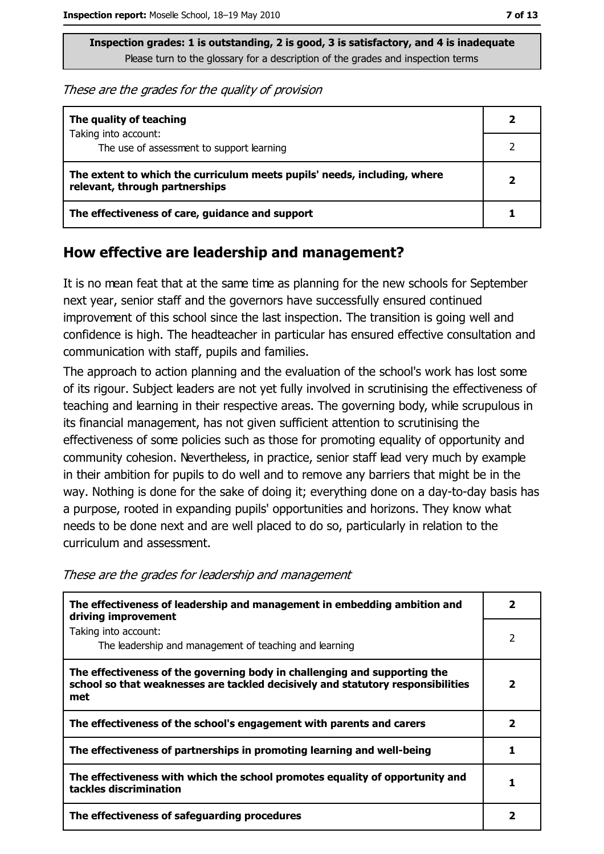These are the grades for the quality of provision

| The quality of teaching                                                                                    |  |
|------------------------------------------------------------------------------------------------------------|--|
| Taking into account:<br>The use of assessment to support learning                                          |  |
| The extent to which the curriculum meets pupils' needs, including, where<br>relevant, through partnerships |  |
| The effectiveness of care, guidance and support                                                            |  |

#### How effective are leadership and management?

It is no mean feat that at the same time as planning for the new schools for September next year, senior staff and the governors have successfully ensured continued improvement of this school since the last inspection. The transition is going well and confidence is high. The headteacher in particular has ensured effective consultation and communication with staff, pupils and families.

The approach to action planning and the evaluation of the school's work has lost some of its rigour. Subject leaders are not yet fully involved in scrutinising the effectiveness of teaching and learning in their respective areas. The governing body, while scrupulous in its financial management, has not given sufficient attention to scrutinising the effectiveness of some policies such as those for promoting equality of opportunity and community cohesion. Nevertheless, in practice, senior staff lead very much by example in their ambition for pupils to do well and to remove any barriers that might be in the way. Nothing is done for the sake of doing it; everything done on a day-to-day basis has a purpose, rooted in expanding pupils' opportunities and horizons. They know what needs to be done next and are well placed to do so, particularly in relation to the curriculum and assessment.

These are the grades for leadership and management

| The effectiveness of leadership and management in embedding ambition and<br>driving improvement                                                                     |   |  |
|---------------------------------------------------------------------------------------------------------------------------------------------------------------------|---|--|
| Taking into account:<br>The leadership and management of teaching and learning                                                                                      | 2 |  |
| The effectiveness of the governing body in challenging and supporting the<br>school so that weaknesses are tackled decisively and statutory responsibilities<br>met | 2 |  |
| The effectiveness of the school's engagement with parents and carers                                                                                                | 2 |  |
| The effectiveness of partnerships in promoting learning and well-being                                                                                              |   |  |
| The effectiveness with which the school promotes equality of opportunity and<br>tackles discrimination                                                              |   |  |
| The effectiveness of safeguarding procedures                                                                                                                        |   |  |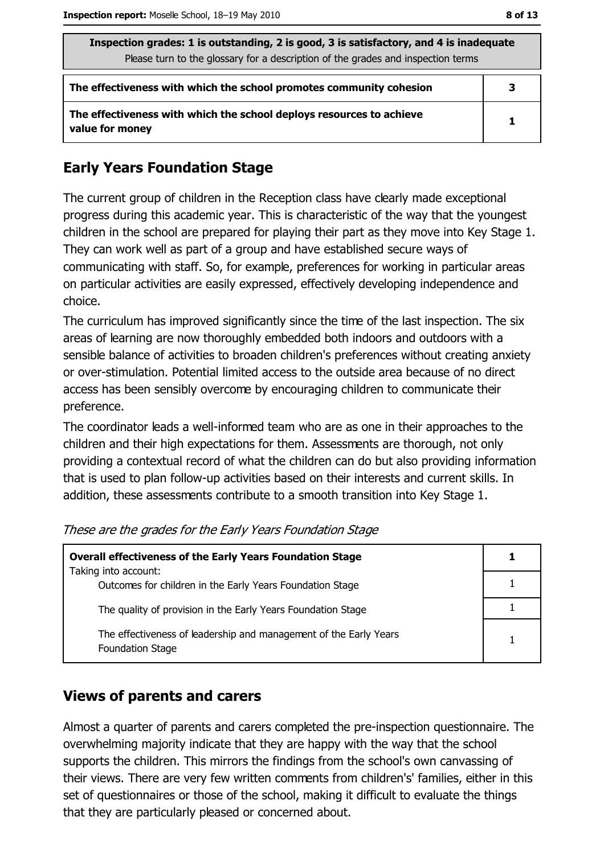| Inspection grades: 1 is outstanding, 2 is good, 3 is satisfactory, and 4 is inadequate<br>Please turn to the glossary for a description of the grades and inspection terms |   |  |
|----------------------------------------------------------------------------------------------------------------------------------------------------------------------------|---|--|
| The effectiveness with which the school promotes community cohesion                                                                                                        | 3 |  |
| The effectiveness with which the school deploys resources to achieve<br>value for money                                                                                    | 1 |  |

#### **Early Years Foundation Stage**

The current group of children in the Reception class have clearly made exceptional progress during this academic year. This is characteristic of the way that the youngest children in the school are prepared for playing their part as they move into Key Stage 1. They can work well as part of a group and have established secure ways of communicating with staff. So, for example, preferences for working in particular areas on particular activities are easily expressed, effectively developing independence and choice.

The curriculum has improved significantly since the time of the last inspection. The six areas of learning are now thoroughly embedded both indoors and outdoors with a sensible balance of activities to broaden children's preferences without creating anxiety or over-stimulation. Potential limited access to the outside area because of no direct access has been sensibly overcome by encouraging children to communicate their preference.

The coordinator leads a well-informed team who are as one in their approaches to the children and their high expectations for them. Assessments are thorough, not only providing a contextual record of what the children can do but also providing information that is used to plan follow-up activities based on their interests and current skills. In addition, these assessments contribute to a smooth transition into Key Stage 1.

| <b>Overall effectiveness of the Early Years Foundation Stage</b>                             |  |
|----------------------------------------------------------------------------------------------|--|
| Taking into account:<br>Outcomes for children in the Early Years Foundation Stage            |  |
| The quality of provision in the Early Years Foundation Stage                                 |  |
| The effectiveness of leadership and management of the Early Years<br><b>Foundation Stage</b> |  |

These are the grades for the Early Years Foundation Stage

### **Views of parents and carers**

Almost a quarter of parents and carers completed the pre-inspection questionnaire. The overwhelming majority indicate that they are happy with the way that the school supports the children. This mirrors the findings from the school's own canvassing of their views. There are very few written comments from children's' families, either in this set of questionnaires or those of the school, making it difficult to evaluate the things that they are particularly pleased or concerned about.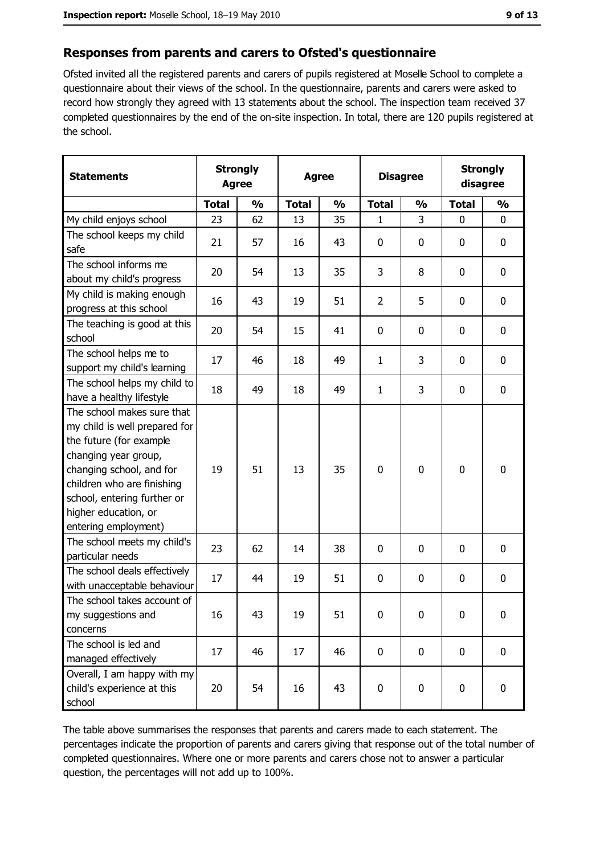#### Responses from parents and carers to Ofsted's questionnaire

Ofsted invited all the registered parents and carers of pupils registered at Moselle School to complete a questionnaire about their views of the school. In the questionnaire, parents and carers were asked to record how strongly they agreed with 13 statements about the school. The inspection team received 37 completed questionnaires by the end of the on-site inspection. In total, there are 120 pupils registered at the school.

| <b>Statements</b>                                                                                                                                                                                                                                       | <b>Strongly</b><br><b>Agree</b> |               | <b>Agree</b> |               |                | <b>Disagree</b> |              | <b>Strongly</b><br>disagree |
|---------------------------------------------------------------------------------------------------------------------------------------------------------------------------------------------------------------------------------------------------------|---------------------------------|---------------|--------------|---------------|----------------|-----------------|--------------|-----------------------------|
|                                                                                                                                                                                                                                                         | <b>Total</b>                    | $\frac{0}{0}$ | <b>Total</b> | $\frac{0}{0}$ | <b>Total</b>   | $\frac{0}{0}$   | <b>Total</b> | $\frac{0}{0}$               |
| My child enjoys school                                                                                                                                                                                                                                  | 23                              | 62            | 13           | 35            | 1              | 3               | $\mathbf 0$  | $\mathbf 0$                 |
| The school keeps my child<br>safe                                                                                                                                                                                                                       | 21                              | 57            | 16           | 43            | 0              | 0               | 0            | 0                           |
| The school informs me<br>about my child's progress                                                                                                                                                                                                      | 20                              | 54            | 13           | 35            | 3              | 8               | $\mathbf 0$  | $\mathbf 0$                 |
| My child is making enough<br>progress at this school                                                                                                                                                                                                    | 16                              | 43            | 19           | 51            | $\overline{2}$ | 5               | 0            | $\mathbf 0$                 |
| The teaching is good at this<br>school                                                                                                                                                                                                                  | 20                              | 54            | 15           | 41            | 0              | 0               | 0            | $\mathbf 0$                 |
| The school helps me to<br>support my child's learning                                                                                                                                                                                                   | 17                              | 46            | 18           | 49            | 1              | 3               | 0            | 0                           |
| The school helps my child to<br>have a healthy lifestyle                                                                                                                                                                                                | 18                              | 49            | 18           | 49            | $\mathbf{1}$   | 3               | $\mathbf 0$  | 0                           |
| The school makes sure that<br>my child is well prepared for<br>the future (for example<br>changing year group,<br>changing school, and for<br>children who are finishing<br>school, entering further or<br>higher education, or<br>entering employment) | 19                              | 51            | 13           | 35            | $\mathbf 0$    | 0               | 0            | $\mathbf 0$                 |
| The school meets my child's<br>particular needs                                                                                                                                                                                                         | 23                              | 62            | 14           | 38            | 0              | 0               | $\mathbf{0}$ | $\mathbf 0$                 |
| The school deals effectively<br>with unacceptable behaviour                                                                                                                                                                                             | 17                              | 44            | 19           | 51            | 0              | 0               | $\mathbf 0$  | 0                           |
| The school takes account of<br>my suggestions and<br>concerns                                                                                                                                                                                           | 16                              | 43            | 19           | 51            | 0              | 0               | 0            | 0                           |
| The school is led and<br>managed effectively                                                                                                                                                                                                            | 17                              | 46            | 17           | 46            | $\mathbf 0$    | 0               | $\mathbf 0$  | $\mathbf 0$                 |
| Overall, I am happy with my<br>child's experience at this<br>school                                                                                                                                                                                     | 20                              | 54            | 16           | 43            | $\pmb{0}$      | 0               | $\bf{0}$     | $\pmb{0}$                   |

The table above summarises the responses that parents and carers made to each statement. The percentages indicate the proportion of parents and carers giving that response out of the total number of completed questionnaires. Where one or more parents and carers chose not to answer a particular question, the percentages will not add up to 100%.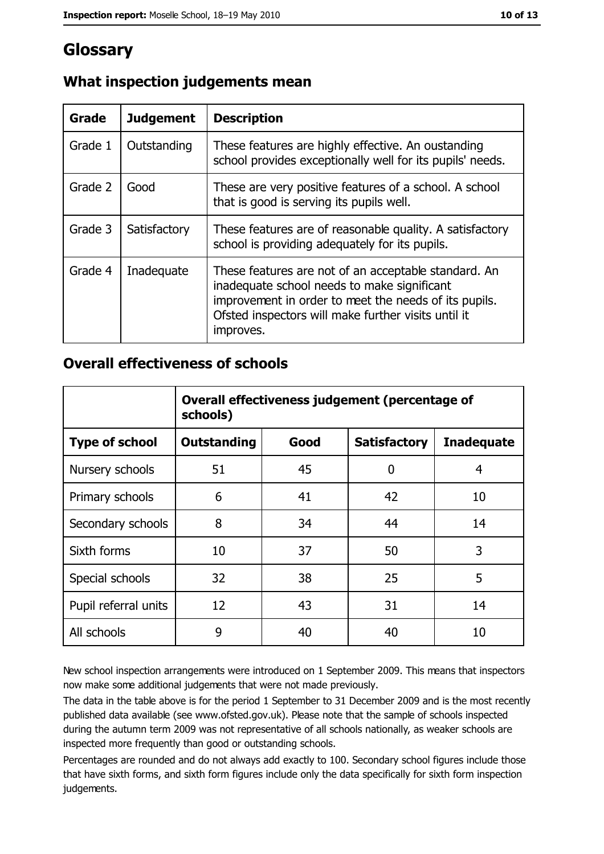# Glossary

| Grade   | <b>Judgement</b> | <b>Description</b>                                                                                                                                                                                                               |
|---------|------------------|----------------------------------------------------------------------------------------------------------------------------------------------------------------------------------------------------------------------------------|
| Grade 1 | Outstanding      | These features are highly effective. An oustanding<br>school provides exceptionally well for its pupils' needs.                                                                                                                  |
| Grade 2 | Good             | These are very positive features of a school. A school<br>that is good is serving its pupils well.                                                                                                                               |
| Grade 3 | Satisfactory     | These features are of reasonable quality. A satisfactory<br>school is providing adequately for its pupils.                                                                                                                       |
| Grade 4 | Inadequate       | These features are not of an acceptable standard. An<br>inadequate school needs to make significant<br>improvement in order to meet the needs of its pupils.<br>Ofsted inspectors will make further visits until it<br>improves. |

## What inspection judgements mean

#### **Overall effectiveness of schools**

|                       | Overall effectiveness judgement (percentage of<br>schools) |      |                     |                   |  |
|-----------------------|------------------------------------------------------------|------|---------------------|-------------------|--|
| <b>Type of school</b> | <b>Outstanding</b>                                         | Good | <b>Satisfactory</b> | <b>Inadequate</b> |  |
| Nursery schools       | 51                                                         | 45   | 0                   | 4                 |  |
| Primary schools       | 6                                                          | 41   | 42                  | 10                |  |
| Secondary schools     | 8                                                          | 34   | 44                  | 14                |  |
| Sixth forms           | 10                                                         | 37   | 50                  | 3                 |  |
| Special schools       | 32                                                         | 38   | 25                  | 5                 |  |
| Pupil referral units  | 12                                                         | 43   | 31                  | 14                |  |
| All schools           | 9                                                          | 40   | 40                  | 10                |  |

New school inspection arrangements were introduced on 1 September 2009. This means that inspectors now make some additional judgements that were not made previously.

The data in the table above is for the period 1 September to 31 December 2009 and is the most recently published data available (see www.ofsted.gov.uk). Please note that the sample of schools inspected during the autumn term 2009 was not representative of all schools nationally, as weaker schools are inspected more frequently than good or outstanding schools.

Percentages are rounded and do not always add exactly to 100. Secondary school figures include those that have sixth forms, and sixth form figures include only the data specifically for sixth form inspection judgements.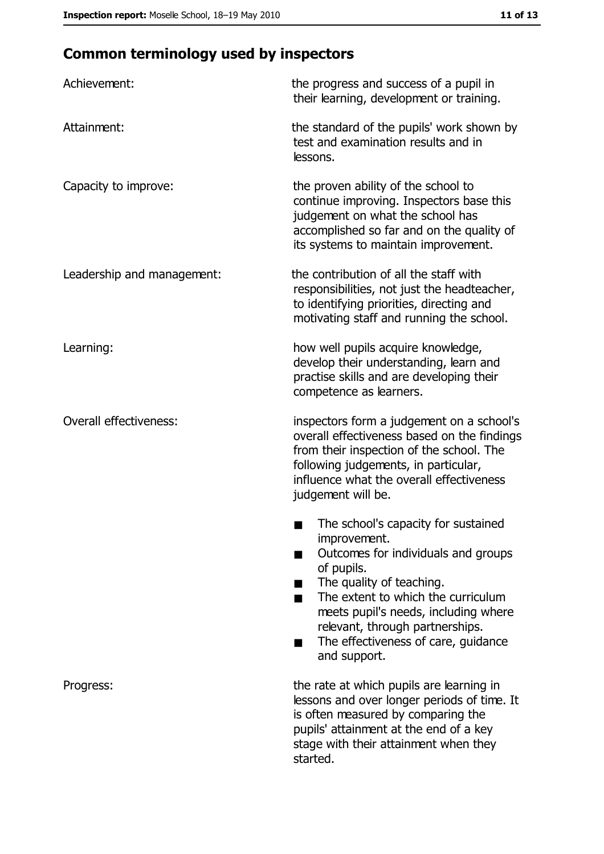# **Common terminology used by inspectors**

| Achievement:                  | the progress and success of a pupil in<br>their learning, development or training.                                                                                                                                                                                                                           |
|-------------------------------|--------------------------------------------------------------------------------------------------------------------------------------------------------------------------------------------------------------------------------------------------------------------------------------------------------------|
| Attainment:                   | the standard of the pupils' work shown by<br>test and examination results and in<br>lessons.                                                                                                                                                                                                                 |
| Capacity to improve:          | the proven ability of the school to<br>continue improving. Inspectors base this<br>judgement on what the school has<br>accomplished so far and on the quality of<br>its systems to maintain improvement.                                                                                                     |
| Leadership and management:    | the contribution of all the staff with<br>responsibilities, not just the headteacher,<br>to identifying priorities, directing and<br>motivating staff and running the school.                                                                                                                                |
| Learning:                     | how well pupils acquire knowledge,<br>develop their understanding, learn and<br>practise skills and are developing their<br>competence as learners.                                                                                                                                                          |
| <b>Overall effectiveness:</b> | inspectors form a judgement on a school's<br>overall effectiveness based on the findings<br>from their inspection of the school. The<br>following judgements, in particular,<br>influence what the overall effectiveness<br>judgement will be.                                                               |
|                               | The school's capacity for sustained<br>improvement.<br>Outcomes for individuals and groups<br>of pupils.<br>The quality of teaching.<br>The extent to which the curriculum<br>meets pupil's needs, including where<br>relevant, through partnerships.<br>The effectiveness of care, guidance<br>and support. |
| Progress:                     | the rate at which pupils are learning in<br>lessons and over longer periods of time. It<br>is often measured by comparing the<br>pupils' attainment at the end of a key<br>stage with their attainment when they<br>started.                                                                                 |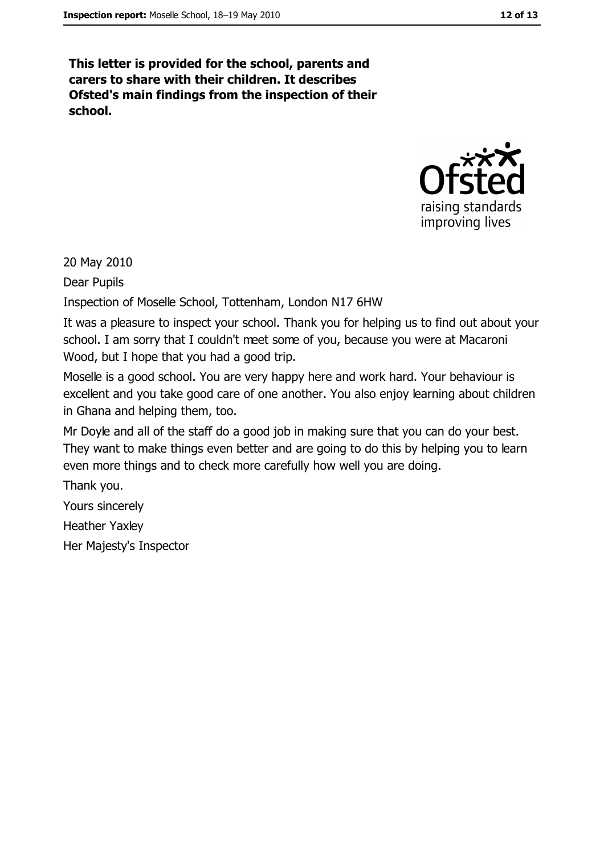This letter is provided for the school, parents and carers to share with their children. It describes Ofsted's main findings from the inspection of their school.



20 May 2010

Dear Pupils

Inspection of Moselle School, Tottenham, London N17 6HW

It was a pleasure to inspect your school. Thank you for helping us to find out about your school. I am sorry that I couldn't meet some of you, because you were at Macaroni Wood, but I hope that you had a good trip.

Moselle is a good school. You are very happy here and work hard. Your behaviour is excellent and you take good care of one another. You also enjoy learning about children in Ghana and helping them, too.

Mr Doyle and all of the staff do a good job in making sure that you can do your best. They want to make things even better and are going to do this by helping you to learn even more things and to check more carefully how well you are doing.

Thank you.

Yours sincerely

**Heather Yaxley** 

Her Majesty's Inspector